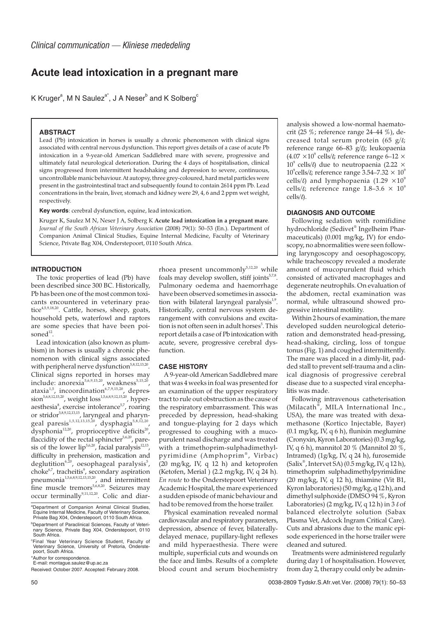# **Acute lead intoxication in a pregnant mare**

K Kruger $\text{\degree},$  M N Saulez $\text{\degree}^*$ , J A Neser $\text{\degree}$  and K Solberg $\text{\degree}$ 

## **ABSTRACT**

Lead (Pb) intoxication in horses is usually a chronic phenomenon with clinical signs associated with central nervous dysfunction. This report gives details of a case of acute Pb intoxication in a 9-year-old American Saddlebred mare with severe, progressive and ultimately fatal neurological deterioration. During the 4 days of hospitalisation, clinical signs progressed from intermittent headshaking and depression to severe, continuous, uncontrollable manic behaviour. At autopsy, three grey-coloured, hard metal particles were present in the gastrointestinal tract and subsequently found to contain 2614 ppm Pb. Lead concentrations in the brain, liver, stomach and kidney were 29, 4, 6 and 2 ppm wet weight, respectively.

**Key words**: cerebral dysfunction, equine, lead intoxication.

Kruger K, Saulez M N, Neser J A, Solberg K **Acute lead intoxication in a pregnant mare**. *Journal of the South African Veterinary Association* (2008) 79(1): 50–53 (En.). Department of Companion Animal Clinical Studies, Equine Internal Medicine, Faculty of Veterinary Science, Private Bag X04, Onderstepoort, 0110 South Africa.

#### **INTRODUCTION**

The toxic properties of lead (Pb) have been described since 300 BC. Historically, Pb has been one of the most common toxicants encountered in veterinary practice<sup>4,5,9,18,20</sup>. Cattle, horses, sheep, goats, household pets, waterfowl and raptors are some species that have been poisoned<sup>12</sup>.

Lead intoxication (also known as plumbism) in horses is usually a chronic phenomenon with clinical signs associated with peripheral nerve dysfunction<sup>5,8,12,13,20</sup>. Clinical signs reported in horses may include: anorexia<sup>5,6,9,15,20</sup>, weakness<sup>5,15,20</sup> ataxia<sup>1,5</sup>, incoordination<sup>6,7,9,15,20</sup>, depression<sup>5,6,8,12,15,20</sup>, weight loss<sup>1,5,6,8,9,12,15,20</sup>, hyperaesthesia<sup>8</sup>, exercise intolerance<sup>5,7</sup>, roaring or stridor<sup>5,8,9,12,13,15</sup>, laryngeal and pharyngeal paresis<sup>1,5,12,13,15,20</sup>, dysphagia<sup>5,8,12,20</sup>, dysphonia<sup>12,20</sup>, proprioceptive deficits<sup>20</sup>, flaccidity of the rectal sphincter $5,6,20$ , paresis of the lower  $lip^{5,6,20}$ , facial paralysis<sup>12,13</sup>, difficulty in prehension, mastication and deglutition<sup>6,20</sup>, oesophageal paralysis<sup>5</sup>, choke<sup>6,7</sup>, tracheitis<sup>9</sup>, secondary aspiration pneumonia<sup>1,5,6,8,9,12,13,15,20</sup>, and intermittent fine muscle tremors<sup>5,6,8,20</sup>. Seizures may occur terminally<sup>9,11,12,20</sup>. Colic and diar-

Received: October 2007. Accepted: February 2008.

rhoea present uncommonly $5,12,20$  while foals may develop swollen, stiff joints $5.78$ . Pulmonary oedema and haemorrhage have been observed sometimes in association with bilateral laryngeal paralysis $1,9$ . Historically, central nervous system derangement with convulsions and excitation is not often seen in adult horses<sup>5</sup>. This report details a case of Pb intoxication with acute, severe, progressive cerebral dysfunction.

### **CASE HISTORY**

A 9-year-old American Saddlebred mare that was 4 weeks in foal was presented for an examination of the upper respiratory tract to rule out obstruction as the cause of the respiratory embarrassment. This was preceded by depression, head-shaking and tongue-playing for 2 days which progressed to coughing with a mucopurulent nasal discharge and was treated with a trimethoprim-sulphadimethylpyrimidine (Amphoprim® , Virbac) (20 mg/kg, IV, q 12 h) and ketoprofen (Ketofen, Merial ) (2.2 mg/kg, IV, q 24 h). *En route* to the Onderstepoort Veterinary Academic Hospital, the mare experienced a sudden episode of manic behaviour and had to be removed from the horse trailer.

Physical examination revealed normal cardiovascular and respiratory parameters, depression, absence of fever, bilaterallydelayed menace, pupillary-light reflexes and mild hyperaesthesia. There were multiple, superficial cuts and wounds on the face and limbs. Results of a complete blood count and serum biochemistry

analysis showed a low-normal haematocrit (25 %; reference range 24–44 %), decreased total serum protein (65  $g/t$ ; reference range 66–83  $g/l$ ; leukopaenia (4.07  $\times$  10<sup>9</sup> cells/ $\ell$ ; reference range 6–12  $\times$  $10^9$  cells/ $\ell$ ) due to neutropaenia (2.22  $\times$ 10 $^{\circ}$ cells/ $\ell$ ; reference range 3.54–7.32  $\times$  10 $^{\circ}$ cells/ $\ell$ ) and lymphopaenia (1.29  $\times 10^9$ cells/ $\ell$ ; reference range 1.8–3.6  $\times$  10<sup>9</sup> cells/ $\ell$ ).

#### **DIAGNOSIS AND OUTCOME**

Following sedation with romifidine hydrochloride (Sedivet® Ingelheim Pharmaceuticals) (0.001 mg/kg, IV) for endoscopy, no abnormalities were seen following laryngoscopy and oesophagoscopy, while tracheoscopy revealed a moderate amount of mucopurulent fluid which consisted of activated macrophages and degenerate neutrophils. On evaluation of the abdomen, rectal examination was normal, while ultrasound showed progressive intestinal motility.

Within 2 hours of examination, the mare developed sudden neurological deterioration and demonstrated head-pressing, head-shaking, circling, loss of tongue tonus (Fig. 1) and coughed intermittently. The mare was placed in a dimly-lit, padded stall to prevent self-trauma and a clinical diagnosis of progressive cerebral disease due to a suspected viral encephalitis was made.

Following intravenous catheterisation (Milacath®, MILA International Inc., USA), the mare was treated with dexamethasone (Kortico Injectable, Bayer) (0.1 mg/kg, IV, q 6 h), flunixin meglumine (Cronyxin, Kyron Laboratories) (0.3 mg/kg, IV, q 6 h), mannitol 20 % (Mannitol 20 %, Intramed) (1g/kg, IV, q 24 h), furosemide (Salix® , Intervet SA) (0.5 mg/kg, IV, q 12 h), trimethoprim sulphadimethylpyrimidine  $(20 \text{ mg/kg}, \text{IV}, \text{q} 12 \text{ h})$ , thiamine (Vit B1, Kyron laboratories) (50 mg/kg, q 12 h), and dimethyl sulphoxide (DMSO 94 %, Kyron Laboratories) (2 mg/kg, IV, q 12 h) in  $3 \ell$  of balanced electrolyte solution (Sabax Plasma Vet, Adcock Ingram Critical Care). Cuts and abrasions due to the manic episode experienced in the horse trailer were cleaned and sutured.

Treatments were administered regularly during day 1 of hospitalisation. However, from day 2, therapy could only be admin-

a Department of Companion Animal Clinical Studies, Equine Internal Medicine, Faculty of Veterinary Science, Private Bag X04, Onderstepoort, 0110 South Africa.

**Department of Paraclinical Sciences, Faculty of Veteri**nary Science, Private Bag X04, Onderstepoort, 0110 South Africa.

c Final Year Veterinary Science Student, Faculty of Veterinary Science, University of Pretoria, Onderstepoort, South Africa.

<sup>\*</sup>Author for correspondence.

E-mail: montague.saulez@up.ac.za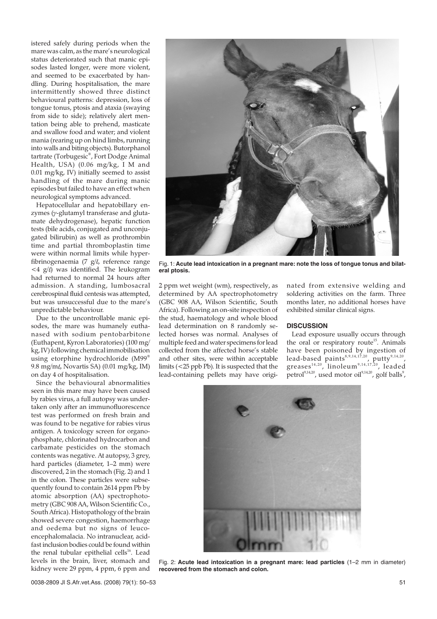istered safely during periods when the mare was calm, as the mare's neurological status deteriorated such that manic episodes lasted longer, were more violent, and seemed to be exacerbated by handling. During hospitalisation, the mare intermittently showed three distinct behavioural patterns: depression, loss of tongue tonus, ptosis and ataxia (swaying from side to side); relatively alert mentation being able to prehend, masticate and swallow food and water; and violent mania (rearing up on hind limbs, running into walls and biting objects). Butorphanol tartrate (Torbugesic® , Fort Dodge Animal Health, USA) (0.06 mg/kg, I M and 0.01 mg/kg, IV) initially seemed to assist handling of the mare during manic episodes but failed to have an effect when neurological symptoms advanced.

Hepatocellular and hepatobillary enzymes (γ-glutamyl transferase and glutamate dehydrogenase), hepatic function tests (bile acids, conjugated and unconjugated bilirubin) as well as prothrombin time and partial thromboplastin time were within normal limits while hyperfibrinogenaemia (7  $g/l$ , reference range  $\langle 4 \rangle$  g/ $\ell$ ) was identified. The leukogram had returned to normal 24 hours after admission. A standing, lumbosacral cerebrospinal fluid centesis was attempted, but was unsuccessful due to the mare's unpredictable behaviour.

Due to the uncontrollable manic episodes, the mare was humanely euthanased with sodium pentobarbitone (Euthapent, Kyron Laboratories) (100 mg/ kg, IV) following chemical immobilisation using etorphine hydrochloride (M99® 9.8 mg/m $\ell$ , Novartis SA) (0.01 mg/kg, IM) on day 4 of hospitalisation.

Since the behavioural abnormalities seen in this mare may have been caused by rabies virus, a full autopsy was undertaken only after an immunofluorescence test was performed on fresh brain and was found to be negative for rabies virus antigen. A toxicology screen for organophosphate, chlorinated hydrocarbon and carbamate pesticides on the stomach contents was negative. At autopsy, 3 grey, hard particles (diameter, 1–2 mm) were discovered, 2 in the stomach (Fig. 2) and 1 in the colon. These particles were subsequently found to contain 2614 ppm Pb by atomic absorption (AA) spectrophotometry (GBC 908 AA, Wilson Scientific Co., South Africa). Histopathology of the brain showed severe congestion, haemorrhage and oedema but no signs of leucoencephalomalacia. No intranuclear, acidfast inclusion bodies could be found within the renal tubular epithelial cells<sup>16</sup>. Lead levels in the brain, liver, stomach and kidney were 29 ppm, 4 ppm, 6 ppm and



Fig. 1: **Acute lead intoxication in a pregnant mare: note the loss of tongue tonus and bilateral ptosis.**

2 ppm wet weight (wm), respectively, as determined by AA spectrophotometry (GBC 908 AA, Wilson Scientific, South Africa). Following an on-site inspection of the stud, haematology and whole blood lead determination on 8 randomly selected horses was normal. Analyses of multiple feed and water specimens for lead collected from the affected horse's stable and other sites, were within acceptable limits (<25 ppb Pb). It is suspected that the lead-containing pellets may have originated from extensive welding and soldering activities on the farm. Three months later, no additional horses have exhibited similar clinical signs.

#### **DISCUSSION**

Lead exposure usually occurs through the oral or respiratory route<sup>15</sup>. Animals have been poisoned by ingestion of lead-based paints<sup>8,9,14,17,20</sup>, putty<sup>9,14,20</sup>, greases $^{\rm 14,20}$ , linoleum $^{\rm 9,14,17,20}$ , leaded petrol $^{9,14,20}$ , used motor oil $^{9,14,20}$ , golf balls $^9$ ,



Fig. 2: **Acute lead intoxication in a pregnant mare: lead particles** (1–2 mm in diameter) **recovered from the stomach and colon.**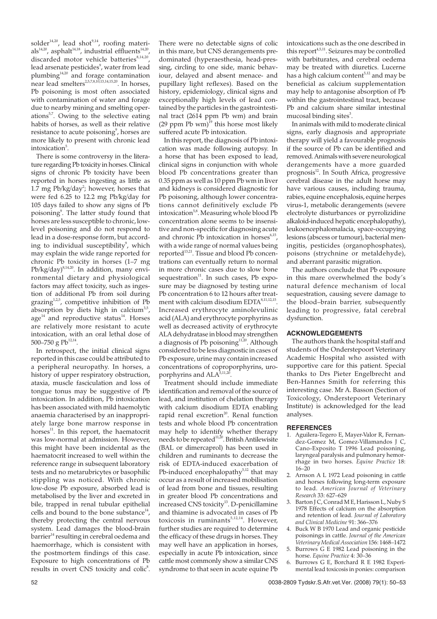solder<sup>14,20</sup>, lead shot<sup>9,14</sup>, roofing materials<sup>14,20</sup>, asphalt<sup>14,18</sup>, industrial effluents<sup>14,20</sup> discarded motor vehicle batteries $8,14,20$ . lead arsenate pesticides<sup>9</sup>, water from lead plumbing $14,20$  and forage contamination near lead smelters<sup>2,5,7,8,10,13,14,15,20</sup>. In horses, Pb poisoning is most often associated with contamination of water and forage due to nearby mining and smelting operations<sup>5,7</sup>. Owing to the selective eating habits of horses, as well as their relative resistance to acute poisoning<sup>9</sup>, horses are more likely to present with chronic lead intoxication<sup>5</sup>.

There is some controversy in the literature regarding Pb toxicity in horses. Clinical signs of chronic Pb toxicity have been reported in horses ingesting as little as 1.7 mg Pb/kg/day<sup>2</sup>; however, horses that were fed 6.25 to 12.2 mg Pb/kg/day for 105 days failed to show any signs of Pb poisoning<sup>9</sup>. The latter study found that horses are less susceptible to chronic, lowlevel poisoning and do not respond to lead in a dose-response form, but according to individual susceptibility<sup>9</sup>, which may explain the wide range reported for chronic Pb toxicity in horses (1–7 mg Pb/kg/day) $8,14,20$ . In addition, many environmental dietary and physiological factors may affect toxicity, such as ingestion of additional Pb from soil during grazing<sup>1,2,5</sup>, competitive inhibition of Pb absorption by diets high in calcium<sup>3,5</sup>, age<sup>14</sup> and reproductive status<sup>14</sup>. Horses are relatively more resistant to acute intoxication, with an oral lethal dose of 500–750 g  $Pb^{12,14}$ .

In retrospect, the initial clinical signs reported in this case could be attributed to a peripheral neuropathy. In horses, a history of upper respiratory obstruction, ataxia, muscle fasciculation and loss of tongue tonus may be suggestive of Pb intoxication. In addition, Pb intoxication has been associated with mild haemolytic anaemia characterised by an inappropriately large bone marrow response in horses $^{11}$ . In this report, the haematocrit was low-normal at admission. However, this might have been incidental as the haematocrit increased to well within the reference range in subsequent laboratory tests and no metarubricytes or basophilic stippling was noticed. With chronic low-dose Pb exposure, absorbed lead is metabolised by the liver and excreted in bile, trapped in renal tubular epithelial cells and bound to the bone substance $^{14}$ , thereby protecting the central nervous system. Lead damages the blood-brain barrier<sup>14</sup> resulting in cerebral oedema and haemorrhage, which is consistent with the postmortem findings of this case. Exposure to high concentrations of Pb results in overt CNS toxicity and colic<sup>8</sup>.

There were no detectable signs of colic in this mare, but CNS derangements predominated (hyperaesthesia, head-pressing, circling to one side, manic behaviour, delayed and absent menace- and pupillary light reflexes). Based on the history, epidemiology, clinical signs and exceptionally high levels of lead contained by the particles in the gastrointestinal tract (2614 ppm Pb wm) and brain (29 ppm Pb wm) $^{19}$  this horse most likely suffered acute Pb intoxication.

In this report, the diagnosis of Pb intoxication was made following autopsy. In a horse that has been exposed to lead, clinical signs in conjunction with whole blood Pb concentrations greater than 0.35 ppm as well as 10 ppm Pb wm in liver and kidneys is considered diagnostic for Pb poisoning, although lower concentrations cannot definitively exclude Pb intoxication<sup>5,8</sup>. Measuring whole blood Pb concentration alone seems to be insensitive and non-specific for diagnosing acute and chronic  $\overrightarrow{P}b$  intoxication in horses<sup>6,15</sup>, with a wide range of normal values being reported<sup>13,21</sup>. Tissue and blood Pb concentrations can eventually return to normal in more chronic cases due to slow bone sequestration $^{11}$ . In such cases, Pb exposure may be diagnosed by testing urine Pb concentration 6 to 12 hours after treatment with calcium disodium EDTA<sup>8,11,12,15</sup>. Increased erythrocyte aminolevulinic acid (ALA) and erythrocyte porphyrins as well as decreased activity of erythrocyte ALA dehydratase in blood may strengthen a diagnosis of Pb poisoning $1,20$ . Although considered to be less diagnostic in cases of Pb exposure, urine may contain increased concentrations of coproporphyrins, uroporphyrins and ALA<sup>5,11,20</sup>

Treatment should include immediate identification and removal of the source of lead, and institution of chelation therapy with calcium disodium EDTA enabling rapid renal excretion<sup>20</sup>. Renal function tests and whole blood Pb concentration may help to identify whether therapy  $\frac{1}{2}$  needs to be repeated<sup>11,20</sup>. British Antilewisite (BAL or dimercaprol) has been used in children and ruminants to decrease the risk of EDTA-induced exacerbation of Pb-induced encephalopathy $5,12$  that may occur as a result of increased mobilisation of lead from bone and tissues, resulting in greater blood Pb concentrations and increased CNS toxicity<sup>13</sup>. D-penicillamine and thiamine is advocated in cases of Pb toxicosis in ruminants $5,12,14$ . However, further studies are required to determine the efficacy of these drugs in horses. They may well have an application in horses, especially in acute Pb intoxication, since cattle most commonly show a similar CNS syndrome to that seen in acute equine Pb intoxications such as the one described in this report $4,5,11$ . Seizures may be controlled with barbiturates, and cerebral oedema may be treated with diuretics. Lucerne has a high calcium content<sup>5,12</sup> and may be beneficial as calcium supplementation may help to antagonise absorption of Pb within the gastrointestinal tract, because Pb and calcium share similar intestinal mucosal binding sites<sup>3</sup>.

In animals with mild to moderate clinical signs, early diagnosis and appropriate therapy will yield a favourable prognosis if the source of Pb can be identified and removed. Animals with severe neurological derangements have a more guarded prognosis<sup>12</sup>. In South Africa, progressive cerebral disease in the adult horse may have various causes, including trauma, rabies, equine encephalosis, equine herpes virus-1, metabolic derangements (severe electrolyte disturbances or pyrrolizidine alkaloid-induced hepatic encephalopathy), leukoencephalomalacia, space-occupying lesions (abscess or tumour), bacterial meningitis, pesticides (organophosphates), poisons (strychnine or metaldehyde), and aberrant parasitic migration.

The authors conclude that Pb exposure in this mare overwhelmed the body's natural defence mechanism of local sequestration, causing severe damage to the blood–brain barrier, subsequently leading to progressive, fatal cerebral dysfunction.

## **ACKNOWLEDGEMENTS**

The authors thank the hospital staff and students of the Onderstepoort Veterinary Academic Hospital who assisted with supportive care for this patient. Special thanks to Drs Pieter Engelbrecht and Ben-Hannes Smith for referring this interesting case. Mr A. Basson (Section of Toxicology, Onderstepoort Veterinary Institute) is acknowledged for the lead analyses.

#### **REFERENCES**

- 1. Aguilera-Tegero E, Mayer-Valor R, Fernandez-Gomez M, Gomez-Villamandos J C, Cano-Exposito T 1996 Lead poisoning, laryngeal paralysis and pulmonary hemorrhage in two horses. *Equine Practice* 18: 16–20
- 2. Arnson A L 1972 Lead poisoning in cattle and horses following long-term exposure to lead. *American Journal of Veterinary Research* 33: 627–629
- 3. Barton J C, Conrad M E, Harisson L, Nuby S 1978 Effects of calcium on the absorption and retention of lead. *Journal of Laboratory and Clinical Medicine* 91: 366–376
- 4. Buck W B 1970 Lead and organic pesticide poisonings in cattle. *Journal of the American Veterinary Medical Association* 156: 1468–1472
- Burrows G E 1982 Lead poisoning in the horse. *Equine Practice* 4: 30–36
- 6. Burrows G E, Borchard R E 1982 Experimental lead toxicosis in ponies: comparison